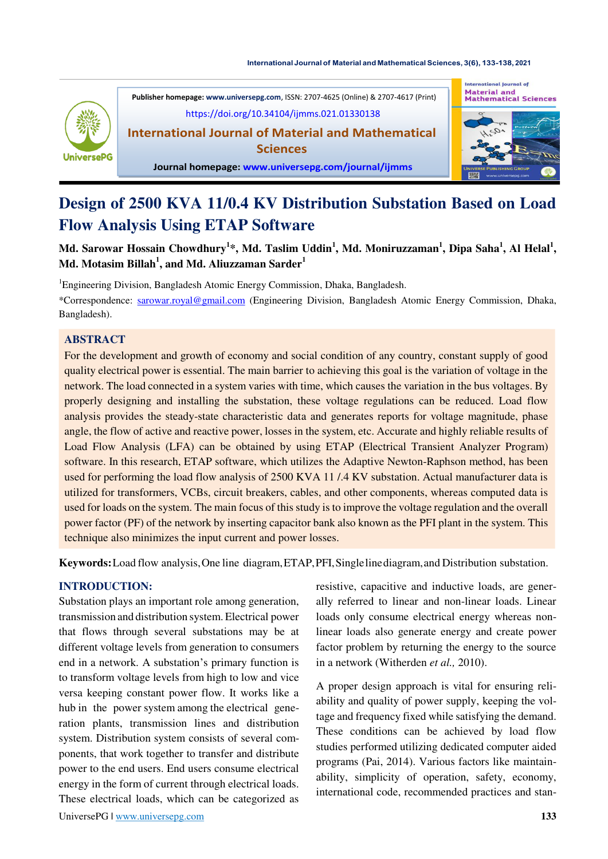#### **International Journal of Material and [Mathematical](https://doi.org/10.34104/ijmms.021.01330138) Sciences, 3(6), 133-138, 2021**



**Publisher homepage[: www.universepg.com](http://www.universepg.com/)**, ISSN: 2707-4625 (Online) & 2707-4617 (Print) <https://doi.org/10.34104/ijmms.021.01330138>

**International Journal of Material and Mathematical Sciences** 



#### **Journal homepage: [www.universepg.com/journal/ijmms](http://www.universepg.com/journal/ijmms)**

# **Design of 2500 KVA 11/0.4 KV Distribution Substation Based on Load Flow Analysis Using ETAP Software**

**Md. Sarowar Hossain Chowdhury<sup>1</sup> \*, Md. Taslim Uddin<sup>1</sup> , Md. Moniruzzaman<sup>1</sup> , Dipa Saha<sup>1</sup> , Al Helal<sup>1</sup> , Md. Motasim Billah<sup>1</sup> , and Md. Aliuzzaman Sarder<sup>1</sup>**

<sup>1</sup>Engineering Division, Bangladesh Atomic Energy Commission, Dhaka, Bangladesh.

\*Correspondence: [sarowar.royal@gmail.com](mailto:sarowar.royal@gmail.com) (Engineering Division, Bangladesh Atomic Energy Commission, Dhaka, Bangladesh).

# **ABSTRACT**

For the development and growth of economy and social condition of any country, constant supply of good quality electrical power is essential. The main barrier to achieving this goal is the variation of voltage in the network. The load connected in a system varies with time, which causes the variation in the bus voltages. By properly designing and installing the substation, these voltage regulations can be reduced. Load flow analysis provides the steady-state characteristic data and generates reports for voltage magnitude, phase angle, the flow of active and reactive power, losses in the system, etc. Accurate and highly reliable results of Load Flow Analysis (LFA) can be obtained by using ETAP (Electrical Transient Analyzer Program) software. In this research, ETAP software, which utilizes the Adaptive Newton-Raphson method, has been used for performing the load flow analysis of 2500 KVA 11 /.4 KV substation. Actual manufacturer data is utilized for transformers, VCBs, circuit breakers, cables, and other components, whereas computed data is used for loads on the system. The main focus of this study is to improve the voltage regulation and the overall power factor (PF) of the network by inserting capacitor bank also known as the PFI plant in the system. This technique also minimizes the input current and power losses.

**Keywords:**Load flow analysis,One line diagram,ETAP,PFI,Singlelinediagram,and Distribution substation.

# **INTRODUCTION:**

Substation plays an important role among generation, transmission and distribution system. Electrical power that flows through several substations may be at different voltage levels from generation to consumers end in a network. A substation's primary function is to transform voltage levels from high to low and vice versa keeping constant power flow. It works like a hub in the power system among the electrical generation plants, transmission lines and distribution system. Distribution system consists of several components, that work together to transfer and distribute power to the end users. End users consume electrical energy in the form of current through electrical loads. These electrical loads, which can be categorized as

resistive, capacitive and inductive loads, are generally referred to linear and non-linear loads. Linear loads only consume electrical energy whereas nonlinear loads also generate energy and create power factor problem by returning the energy to the source in a network (Witherden *et al.,* 2010).

A proper design approach is vital for ensuring reliability and quality of power supply, keeping the voltage and frequency fixed while satisfying the demand. These conditions can be achieved by load flow studies performed utilizing dedicated computer aided programs (Pai, 2014). Various factors like maintainability, simplicity of operation, safety, economy, international code, recommended practices and stan-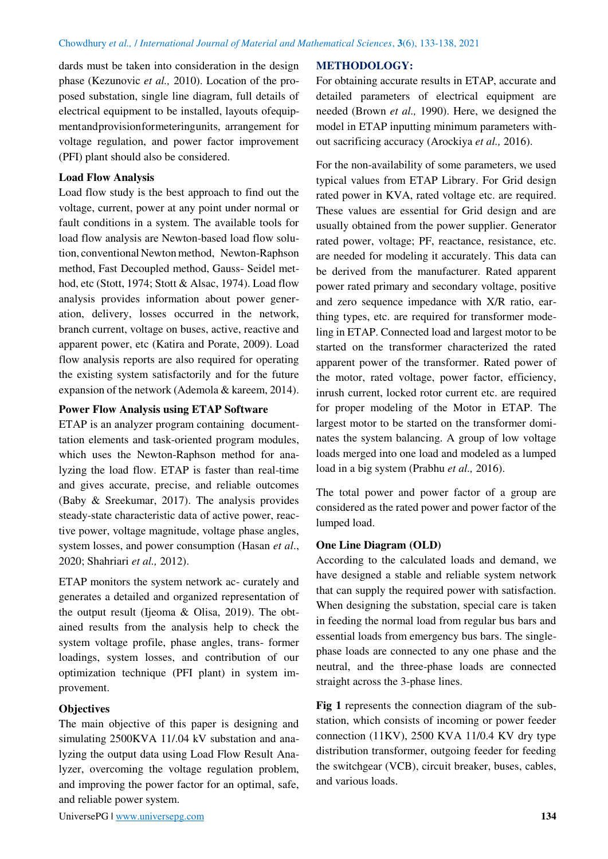dards must be taken into consideration in the design phase (Kezunovic *et al.,* 2010). Location of the proposed substation, single line diagram, full details of electrical equipment to be installed, layouts ofequipmentandprovisionformeteringunits, arrangement for voltage regulation, and power factor improvement (PFI) plant should also be considered.

## **Load Flow Analysis**

Load flow study is the best approach to find out the voltage, current, power at any point under normal or fault conditions in a system. The available tools for load flow analysis are Newton-based load flow solution, conventional Newton method, Newton-Raphson method, Fast Decoupled method, Gauss- Seidel method, etc (Stott, 1974; Stott & Alsac, 1974). Load flow analysis provides information about power generation, delivery, losses occurred in the network, branch current, voltage on buses, active, reactive and apparent power, etc (Katira and Porate, 2009). Load flow analysis reports are also required for operating the existing system satisfactorily and for the future expansion of the network (Ademola & kareem, 2014).

## **Power Flow Analysis using ETAP Software**

ETAP is an analyzer program containing documenttation elements and task-oriented program modules, which uses the Newton-Raphson method for analyzing the load flow. ETAP is faster than real-time and gives accurate, precise, and reliable outcomes (Baby & Sreekumar, 2017). The analysis provides steady-state characteristic data of active power, reactive power, voltage magnitude, voltage phase angles, system losses, and power consumption (Hasan *et al*., 2020; Shahriari *et al.,* 2012).

ETAP monitors the system network ac- curately and generates a detailed and organized representation of the output result (Ijeoma & Olisa, 2019). The obtained results from the analysis help to check the system voltage profile, phase angles, trans- former loadings, system losses, and contribution of our optimization technique (PFI plant) in system improvement.

# **Objectives**

The main objective of this paper is designing and simulating 2500KVA 11/.04 kV substation and analyzing the output data using Load Flow Result Analyzer, overcoming the voltage regulation problem, and improving the power factor for an optimal, safe, and reliable power system.

## **METHODOLOGY:**

For obtaining accurate results in ETAP, accurate and detailed parameters of electrical equipment are needed (Brown *et al.,* 1990). Here, we designed the model in ETAP inputting minimum parameters without sacrificing accuracy (Arockiya *et al.,* 2016).

For the non-availability of some parameters, we used typical values from ETAP Library. For Grid design rated power in KVA, rated voltage etc. are required. These values are essential for Grid design and are usually obtained from the power supplier. Generator rated power, voltage; PF, reactance, resistance, etc. are needed for modeling it accurately. This data can be derived from the manufacturer. Rated apparent power rated primary and secondary voltage, positive and zero sequence impedance with X/R ratio, earthing types, etc. are required for transformer modeling in ETAP. Connected load and largest motor to be started on the transformer characterized the rated apparent power of the transformer. Rated power of the motor, rated voltage, power factor, efficiency, inrush current, locked rotor current etc. are required for proper modeling of the Motor in ETAP. The largest motor to be started on the transformer dominates the system balancing. A group of low voltage loads merged into one load and modeled as a lumped load in a big system (Prabhu *et al.,* 2016).

The total power and power factor of a group are considered as the rated power and power factor of the lumped load.

## **One Line Diagram (OLD)**

According to the calculated loads and demand, we have designed a stable and reliable system network that can supply the required power with satisfaction. When designing the substation, special care is taken in feeding the normal load from regular bus bars and essential loads from emergency bus bars. The singlephase loads are connected to any one phase and the neutral, and the three-phase loads are connected straight across the 3-phase lines.

**Fig 1** represents the connection diagram of the substation, which consists of incoming or power feeder connection  $(11KV)$ , 2500 KVA 11/0.4 KV dry type distribution transformer, outgoing feeder for feeding the switchgear (VCB), circuit breaker, buses, cables, and various loads.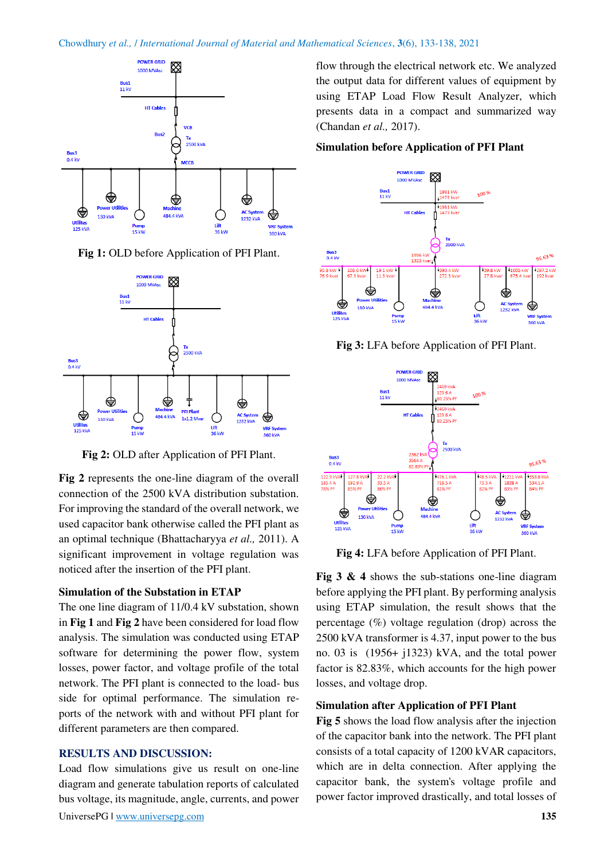#### Chowdhury *et al.,* / *International Journal of Material and Mathematical Sciences*, **3**(6), 133-138, 2021



**Fig 1:** OLD before Application of PFI Plant.



**Fig 2:** OLD after Application of PFI Plant.

**Fig 2** represents the one-line diagram of the overall connection of the 2500 kVA distribution substation. For improving the standard of the overall network, we used capacitor bank otherwise called the PFI plant as an optimal technique (Bhattacharyya *et al.,* 2011). A significant improvement in voltage regulation was noticed after the insertion of the PFI plant.

## **Simulation of the Substation in ETAP**

The one line diagram of 11/0.4 kV substation, shown in **Fig 1** and **Fig 2** have been considered for load flow analysis. The simulation was conducted using ETAP software for determining the power flow, system losses, power factor, and voltage profile of the total network. The PFI plant is connected to the load- bus side for optimal performance. The simulation reports of the network with and without PFI plant for different parameters are then compared.

# **RESULTS AND DISCUSSION:**

Load flow simulations give us result on one-line diagram and generate tabulation reports of calculated bus voltage, its magnitude, angle, currents, and power flow through the electrical network etc. We analyzed the output data for different values of equipment by using ETAP Load Flow Result Analyzer, which presents data in a compact and summarized way (Chandan *et al.,* 2017).

## **Simulation before Application of PFI Plant**



**Fig 3:** LFA before Application of PFI Plant.



**Fig 4:** LFA before Application of PFI Plant.

**Fig 3 & 4** shows the sub-stations one-line diagram before applying the PFI plant. By performing analysis using ETAP simulation, the result shows that the percentage (%) voltage regulation (drop) across the 2500 kVA transformer is 4.37, input power to the bus no. 03 is (1956+ j1323) kVA, and the total power factor is 82.83%, which accounts for the high power losses, and voltage drop.

## **Simulation after Application of PFI Plant**

**Fig 5** shows the load flow analysis after the injection of the capacitor bank into the network. The PFI plant consists of a total capacity of 1200 kVAR capacitors, which are in delta connection. After applying the capacitor bank, the system's voltage profile and power factor improved drastically, and total losses of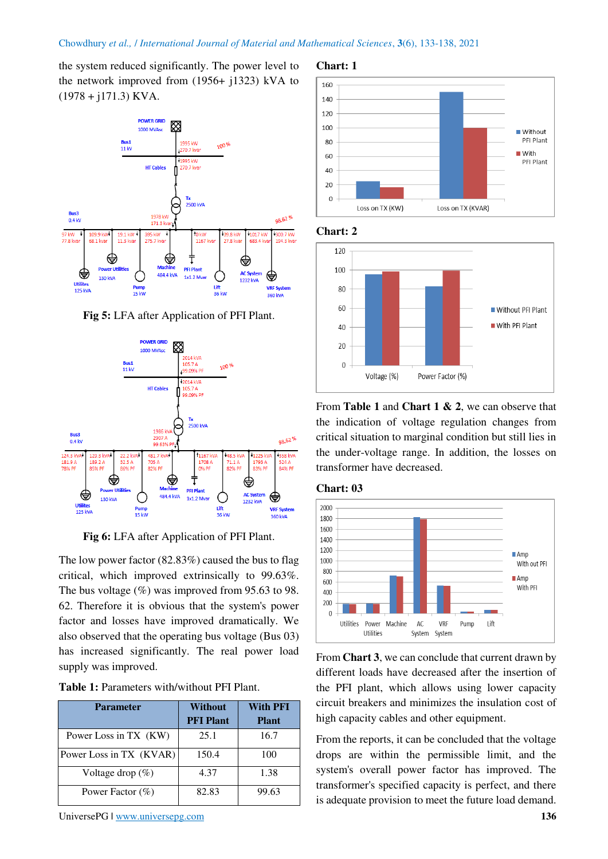## Chowdhury *et al.,* / *International Journal of Material and Mathematical Sciences*, **3**(6), 133-138, 2021

the system reduced significantly. The power level to the network improved from (1956+ j1323) kVA to  $(1978 + i171.3)$  KVA.



**Fig 5:** LFA after Application of PFI Plant.



**Fig 6:** LFA after Application of PFI Plant.

The low power factor (82.83%) caused the bus to flag critical, which improved extrinsically to 99.63%. The bus voltage  $(\%)$  was improved from 95.63 to 98. 62. Therefore it is obvious that the system's power factor and losses have improved dramatically. We also observed that the operating bus voltage (Bus 03) has increased significantly. The real power load supply was improved.

| <b>Table 1:</b> Parameters with/without PFI Plant. |  |  |
|----------------------------------------------------|--|--|
|----------------------------------------------------|--|--|

| <b>Parameter</b>        | Without<br><b>PFI</b> Plant | <b>With PFI</b><br><b>Plant</b> |
|-------------------------|-----------------------------|---------------------------------|
| Power Loss in TX (KW)   | 25.1                        | 16.7                            |
| Power Loss in TX (KVAR) | 150.4                       | 100                             |
| Voltage drop $(\%)$     | 4.37                        | 1.38                            |
| Power Factor $(\%)$     | 82.83                       | 99.63                           |

UniversePG l [www.universepg.com](http://www.universepg.com/) **136 136** 







From **Table 1** and **Chart 1 & 2**, we can observe that the indication of voltage regulation changes from critical situation to marginal condition but still lies in the under-voltage range. In addition, the losses on transformer have decreased.





From **Chart 3**, we can conclude that current drawn by different loads have decreased after the insertion of the PFI plant, which allows using lower capacity circuit breakers and minimizes the insulation cost of high capacity cables and other equipment.

From the reports, it can be concluded that the voltage drops are within the permissible limit, and the system's overall power factor has improved. The transformer's specified capacity is perfect, and there is adequate provision to meet the future load demand.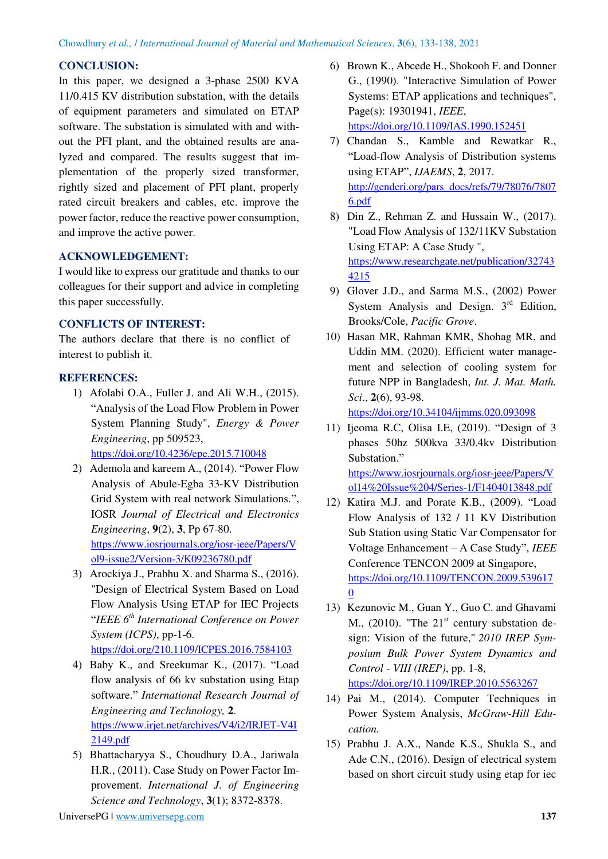# **CONCLUSION:**

In this paper, we designed a 3-phase 2500 KVA 11/0.415 KV distribution substation, with the details of equipment parameters and simulated on ETAP software. The substation is simulated with and without the PFI plant, and the obtained results are analyzed and compared. The results suggest that implementation of the properly sized transformer, rightly sized and placement of PFI plant, properly rated circuit breakers and cables, etc. improve the power factor, reduce the reactive power consumption, and improve the active power.

# **ACKNOWLEDGEMENT:**

I would like to express our gratitude and thanks to our colleagues for their support and advice in completing this paper successfully.

# **CONFLICTS OF INTEREST:**

The authors declare that there is no conflict of interest to publish it.

# **REFERENCES:**

- 1) Afolabi O.A., Fuller J. and Ali W.H., (2015). "Analysis of the Load Flow Problem in Power System Planning Study", *Energy & Power Engineering*, pp 509523, <https://doi.org/10.4236/epe.2015.710048>
- 2) Ademola and kareem A., (2014). "Power Flow Analysis of Abule-Egba 33-KV Distribution Grid System with real network Simulations.", IOSR *Journal of Electrical and Electronics Engineering*, **9**(2), **3**, Pp 67-80. [https://www.iosrjournals.org/iosr-jeee/Papers/V](https://www.iosrjournals.org/iosr-jeee/Papers/Vol9-issue2/Version-3/K09236780.pdf) [ol9-issue2/Version-3/K09236780.pdf](https://www.iosrjournals.org/iosr-jeee/Papers/Vol9-issue2/Version-3/K09236780.pdf)
- 3) Arockiya J., Prabhu X. and Sharma S., (2016). "Design of Electrical System Based on Load Flow Analysis Using ETAP for IEC Projects "*IEEE 6th International Conference on Power System (ICPS)*, pp-1-6.
	- <https://doi.org/210.1109/ICPES.2016.7584103>
- 4) Baby K., and Sreekumar K., (2017). "Load flow analysis of 66 kv substation using Etap software." *International Research Journal of Engineering and Technology,* **2**. [https://www.irjet.net/archives/V4/i2/IRJET-V4I](https://www.irjet.net/archives/V4/i2/IRJET-V4I2149.pdf) [2149.pdf](https://www.irjet.net/archives/V4/i2/IRJET-V4I2149.pdf)
- 5) Bhattacharyya S., Choudhury D.A., Jariwala H.R., (2011). Case Study on Power Factor Improvement. *International J. of Engineering Science and Technology*, **3**(1); 8372-8378.
- 6) Brown K., Abcede H., Shokooh F. and Donner G., (1990). "Interactive Simulation of Power Systems: ETAP applications and techniques", Page(s): 19301941, *IEEE*, <https://doi.org/10.1109/IAS.1990.152451>
- 7) Chandan S., Kamble and Rewatkar R., "Load-flow Analysis of Distribution systems using ETAP", *IJAEMS*, **2**, 2017. [http://genderi.org/pars\\_docs/refs/79/78076/7807](http://genderi.org/pars_docs/refs/79/78076/78076.pdf) [6.pdf](http://genderi.org/pars_docs/refs/79/78076/78076.pdf)
- 8) Din Z., Rehman Z. and Hussain W., (2017). "Load Flow Analysis of 132/11KV Substation Using ETAP: A Case Study ", [https://www.researchgate.net/publication/32743](https://www.researchgate.net/publication/327434215) [4215](https://www.researchgate.net/publication/327434215)
- 9) Glover J.D., and Sarma M.S., (2002) Power System Analysis and Design.  $3<sup>rd</sup>$  Edition, Brooks/Cole, *Pacific Grove*.
- 10) Hasan MR, Rahman KMR, Shohag MR, and Uddin MM. (2020). Efficient water management and selection of cooling system for future NPP in Bangladesh, *Int. J. Mat. Math. Sci*., **2**(6), 93-98.

<https://doi.org/10.34104/ijmms.020.093098>

11) Ijeoma R.C, Olisa I.E, (2019). "Design of 3 phases 50hz 500kva 33/0.4kv Distribution Substation." [https://www.iosrjournals.org/iosr-jeee/Papers/V](https://www.iosrjournals.org/iosr-jeee/Papers/Vol14%20Issue%204/Series-1/F1404013848.pdf)

[ol14%20Issue%204/Series-1/F1404013848.pdf](https://www.iosrjournals.org/iosr-jeee/Papers/Vol14%20Issue%204/Series-1/F1404013848.pdf)

- 12) Katira M.J. and Porate K.B., (2009). "Load Flow Analysis of 132 / 11 KV Distribution Sub Station using Static Var Compensator for Voltage Enhancement – A Case Study", *IEEE*  Conference TENCON 2009 at Singapore, [https://doi.org/10.1109/TENCON.2009.539617](https://doi.org/10.1109/TENCON.2009.5396170) [0](https://doi.org/10.1109/TENCON.2009.5396170)
- 13) Kezunovic M., Guan Y., Guo C. and Ghavami M.,  $(2010)$ . "The  $21<sup>st</sup>$  century substation design: Vision of the future," *2010 IREP Symposium Bulk Power System Dynamics and Control - VIII (IREP)*, pp. 1-8, <https://doi.org/10.1109/IREP.2010.5563267>
- 14) Pai M., (2014). Computer Techniques in Power System Analysis, *McGraw-Hill Education.*
- 15) Prabhu J. A.X., Nande K.S., Shukla S., and Ade C.N., (2016). Design of electrical system based on short circuit study using etap for iec